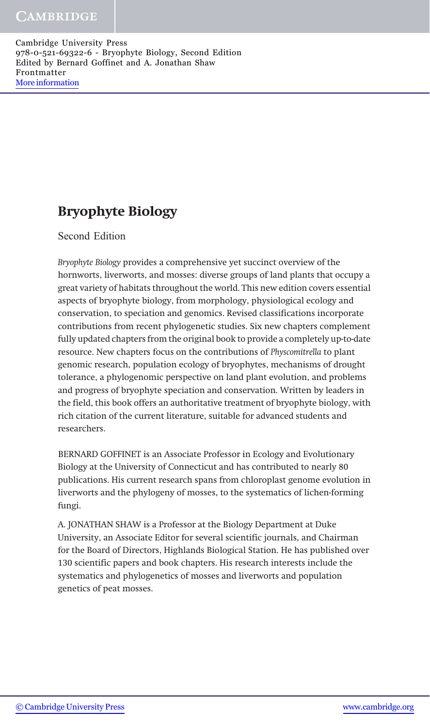## Bryophyte Biology

Second Edition

Bryophyte Biology provides a comprehensive yet succinct overview of the hornworts, liverworts, and mosses: diverse groups of land plants that occupy a great variety of habitats throughout the world. This new edition covers essential aspects of bryophyte biology, from morphology, physiological ecology and conservation, to speciation and genomics. Revised classifications incorporate contributions from recent phylogenetic studies. Six new chapters complement fully updated chapters from the original book to provide a completely up-to-date resource. New chapters focus on the contributions of Physcomitrella to plant genomic research, population ecology of bryophytes, mechanisms of drought tolerance, a phylogenomic perspective on land plant evolution, and problems and progress of bryophyte speciation and conservation. Written by leaders in the field, this book offers an authoritative treatment of bryophyte biology, with rich citation of the current literature, suitable for advanced students and researchers.

BERNARD GOFFINET is an Associate Professor in Ecology and Evolutionary Biology at the University of Connecticut and has contributed to nearly 80 publications. His current research spans from chloroplast genome evolution in liverworts and the phylogeny of mosses, to the systematics of lichen-forming fungi.

A. JONATHAN SHAW is a Professor at the Biology Department at Duke University, an Associate Editor for several scientific journals, and Chairman for the Board of Directors, Highlands Biological Station. He has published over 130 scientific papers and book chapters. His research interests include the systematics and phylogenetics of mosses and liverworts and population genetics of peat mosses.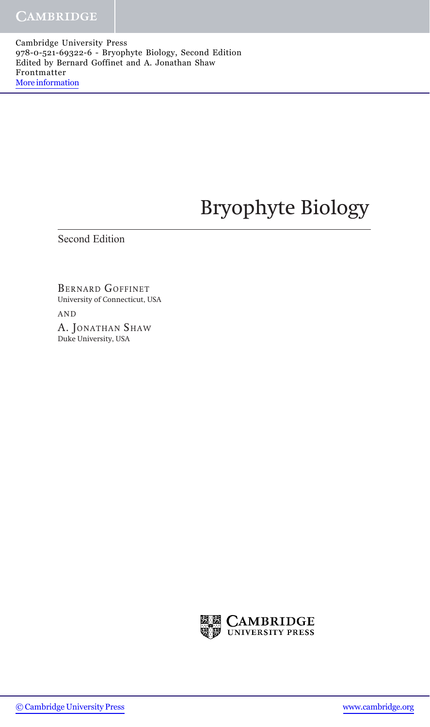# Bryophyte Biology

Second Edition

BERNARD GOFFINET University of Connecticut, USA

AND

A. JONATHAN SHAW Duke University, USA

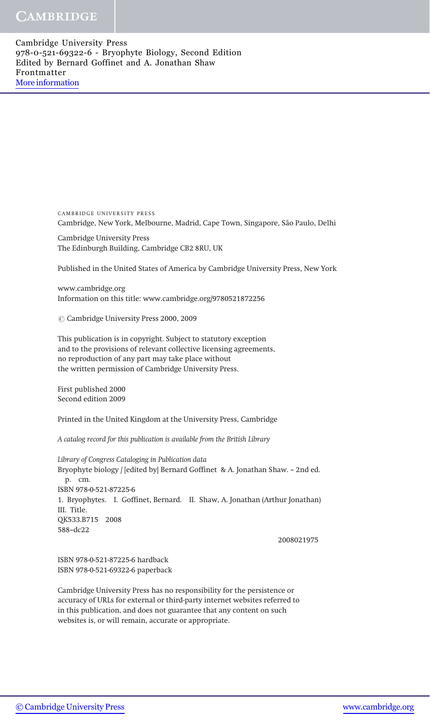> CAMBRIDGE UNIVERSITY PRESS Cambridge, New York, Melbourne, Madrid, Cape Town, Singapore, São Paulo, Delhi

Cambridge University Press The Edinburgh Building, Cambridge CB2 8RU, UK

Published in the United States of America by Cambridge University Press, New York

www.cambridge.org Information on this title: www.cambridge.org/9780521872256

 $\odot$  Cambridge University Press 2000, 2009

This publication is in copyright. Subject to statutory exception and to the provisions of relevant collective licensing agreements, no reproduction of any part may take place without the written permission of Cambridge University Press.

First published 2000 Second edition 2009

Printed in the United Kingdom at the University Press, Cambridge

A catalog record for this publication is available from the British Library

Library of Congress Cataloging in Publication data Bryophyte biology / [edited by] Bernard Goffinet & A. Jonathan Shaw. – 2nd ed. p. cm. ISBN 978-0-521-87225-6 1. Bryophytes. I. Goffinet, Bernard. II. Shaw, A. Jonathan (Arthur Jonathan) III. Title. QK533.B715 2008 588–dc22

2008021975

ISBN 978-0-521-87225-6 hardback ISBN 978-0-521-69322-6 paperback

Cambridge University Press has no responsibility for the persistence or accuracy of URLs for external or third-party internet websites referred to in this publication, and does not guarantee that any content on such websites is, or will remain, accurate or appropriate.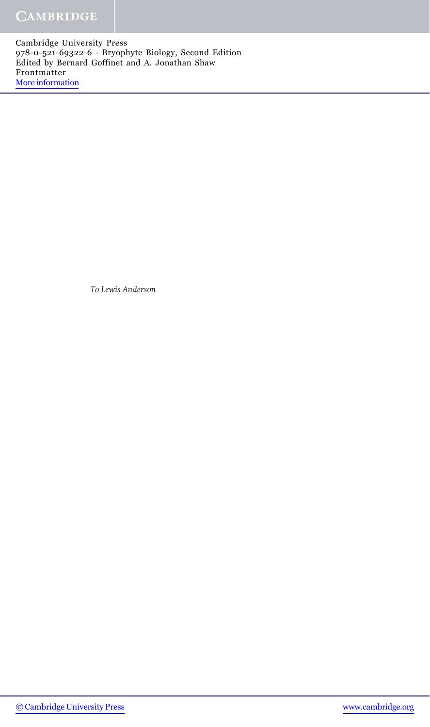To Lewis Anderson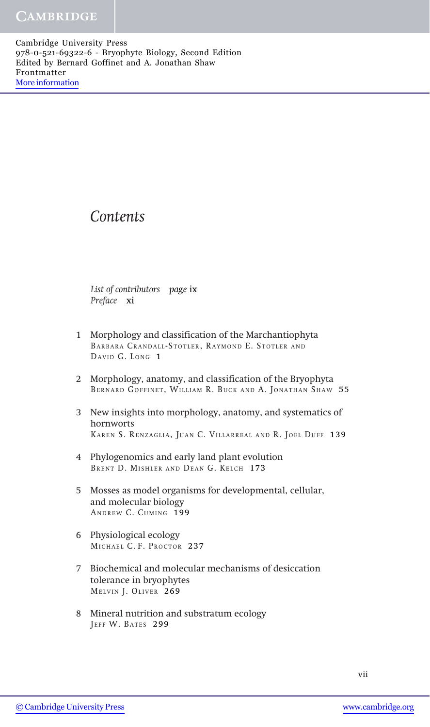Contents

List of contributors page ix Preface xi

- 1 Morphology and classification of the Marchantiophyta BARBARA CRANDALL-STOTLER, RAYMOND E. STOTLER AND DAVID G. LONG 1
- 2 Morphology, anatomy, and classification of the Bryophyta BERNARD GOFFINET, WILLIAM R. BUCK AND A. JONATHAN SHAW 55
- 3 New insights into morphology, anatomy, and systematics of hornworts KAREN S. RENZAGLIA, JUAN C. VILLARREAL AND R. JOEL DUFF 139
- 4 Phylogenomics and early land plant evolution BRENT D. MISHLER AND DEAN G. KELCH 173
- 5 Mosses as model organisms for developmental, cellular, and molecular biology ANDREW C. CUMING 199
- 6 Physiological ecology MICHAEL C. F. PROCTOR 237
- 7 Biochemical and molecular mechanisms of desiccation tolerance in bryophytes MELVIN J. OLIVER 269
- 8 Mineral nutrition and substratum ecology JEFF W. BATES 299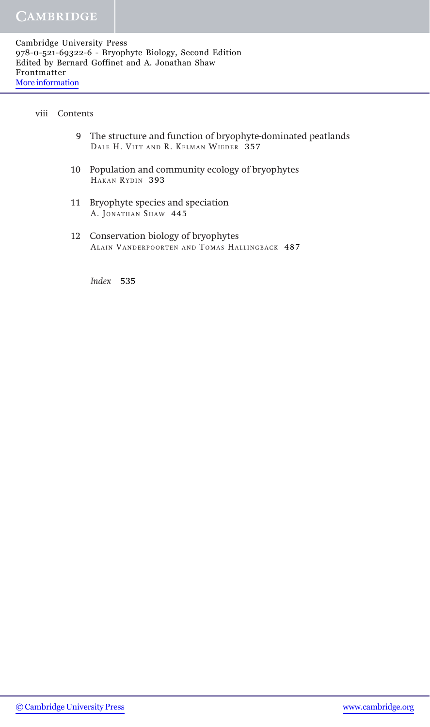#### viii Contents

- 9 The structure and function of bryophyte-dominated peatlands DALE H. VITT AND R. KELMAN WIEDER 357
- 10 Population and community ecology of bryophytes HAKAN RYDIN 393
- 11 Bryophyte species and speciation A. JONATHAN SHAW 445
- 12 Conservation biology of bryophytes ALAIN VANDERPOORTEN AND TOMAS HALLINGBÄCK 487

Index 535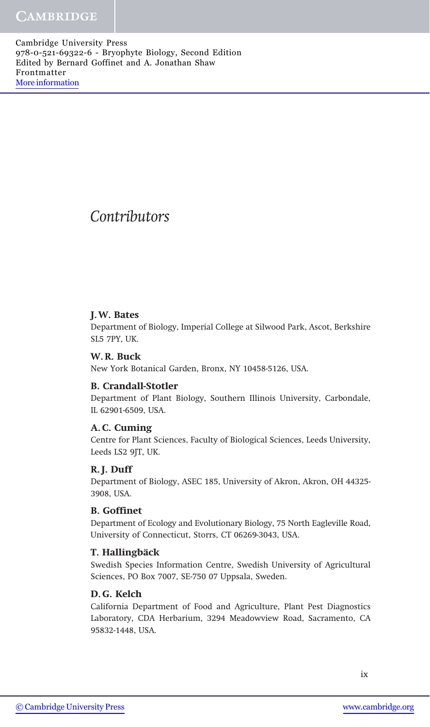# **Contributors**

### J.W. Bates

Department of Biology, Imperial College at Silwood Park, Ascot, Berkshire SL5 7PY, UK.

#### W. R. Buck

New York Botanical Garden, Bronx, NY 10458-5126, USA.

#### B. Crandall-Stotler

Department of Plant Biology, Southern Illinois University, Carbondale, IL 62901-6509, USA.

#### A. C. Cuming

Centre for Plant Sciences, Faculty of Biological Sciences, Leeds University, Leeds LS2 9JT, UK.

#### R. J. Duff

Department of Biology, ASEC 185, University of Akron, Akron, OH 44325- 3908, USA.

#### B. Goffinet

Department of Ecology and Evolutionary Biology, 75 North Eagleville Road, University of Connecticut, Storrs, CT 06269-3043, USA.

#### T. Hallingbäck

Swedish Species Information Centre, Swedish University of Agricultural Sciences, PO Box 7007, SE-750 07 Uppsala, Sweden.

#### D. G. Kelch

California Department of Food and Agriculture, Plant Pest Diagnostics Laboratory, CDA Herbarium, 3294 Meadowview Road, Sacramento, CA 95832-1448, USA.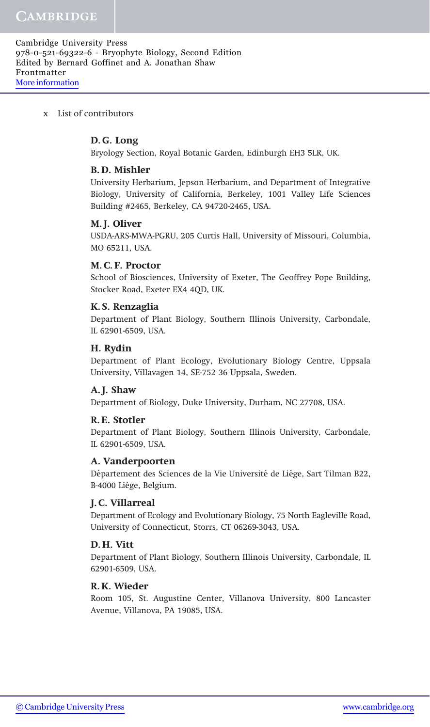### **CAMBRIDGE**

Cambridge University Press 978-0-521-69322-6 - Bryophyte Biology, Second Edition Edited by Bernard Goffinet and A. Jonathan Shaw Frontmatter [More information](http://www.cambridge.org/9780521693226)

#### x List of contributors

#### D. G. Long

Bryology Section, Royal Botanic Garden, Edinburgh EH3 5LR, UK.

#### B. D. Mishler

University Herbarium, Jepson Herbarium, and Department of Integrative Biology, University of California, Berkeley, 1001 Valley Life Sciences Building #2465, Berkeley, CA 94720-2465, USA.

#### M. J. Oliver

USDA-ARS-MWA-PGRU, 205 Curtis Hall, University of Missouri, Columbia, MO 65211, USA.

#### M. C. F. Proctor

School of Biosciences, University of Exeter, The Geoffrey Pope Building, Stocker Road, Exeter EX4 4QD, UK.

#### K. S. Renzaglia

Department of Plant Biology, Southern Illinois University, Carbondale, IL 62901-6509, USA.

#### H. Rydin

Department of Plant Ecology, Evolutionary Biology Centre, Uppsala University, Villavagen 14, SE-752 36 Uppsala, Sweden.

#### A. J. Shaw

Department of Biology, Duke University, Durham, NC 27708, USA.

#### R. E. Stotler

Department of Plant Biology, Southern Illinois University, Carbondale, IL 62901-6509, USA.

#### A. Vanderpoorten

Département des Sciences de la Vie Université de Liége, Sart Tilman B22, B-4000 Liége, Belgium.

#### J. C. Villarreal

Department of Ecology and Evolutionary Biology, 75 North Eagleville Road, University of Connecticut, Storrs, CT 06269-3043, USA.

#### D. H. Vitt

Department of Plant Biology, Southern Illinois University, Carbondale, IL 62901-6509, USA.

### R. K. Wieder

Room 105, St. Augustine Center, Villanova University, 800 Lancaster Avenue, Villanova, PA 19085, USA.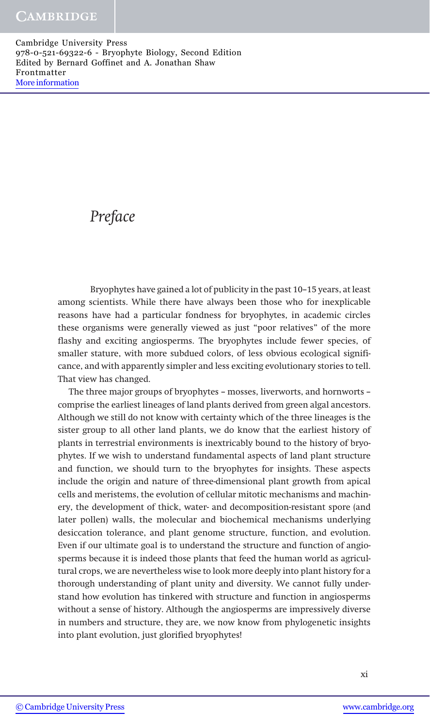# Preface

Bryophytes have gained a lot of publicity in the past 10–15 years, at least among scientists. While there have always been those who for inexplicable reasons have had a particular fondness for bryophytes, in academic circles these organisms were generally viewed as just ''poor relatives'' of the more flashy and exciting angiosperms. The bryophytes include fewer species, of smaller stature, with more subdued colors, of less obvious ecological significance, and with apparently simpler and less exciting evolutionary stories to tell. That view has changed.

The three major groups of bryophytes – mosses, liverworts, and hornworts – comprise the earliest lineages of land plants derived from green algal ancestors. Although we still do not know with certainty which of the three lineages is the sister group to all other land plants, we do know that the earliest history of plants in terrestrial environments is inextricably bound to the history of bryophytes. If we wish to understand fundamental aspects of land plant structure and function, we should turn to the bryophytes for insights. These aspects include the origin and nature of three-dimensional plant growth from apical cells and meristems, the evolution of cellular mitotic mechanisms and machinery, the development of thick, water- and decomposition-resistant spore (and later pollen) walls, the molecular and biochemical mechanisms underlying desiccation tolerance, and plant genome structure, function, and evolution. Even if our ultimate goal is to understand the structure and function of angiosperms because it is indeed those plants that feed the human world as agricultural crops, we are nevertheless wise to look more deeply into plant history for a thorough understanding of plant unity and diversity. We cannot fully understand how evolution has tinkered with structure and function in angiosperms without a sense of history. Although the angiosperms are impressively diverse in numbers and structure, they are, we now know from phylogenetic insights into plant evolution, just glorified bryophytes!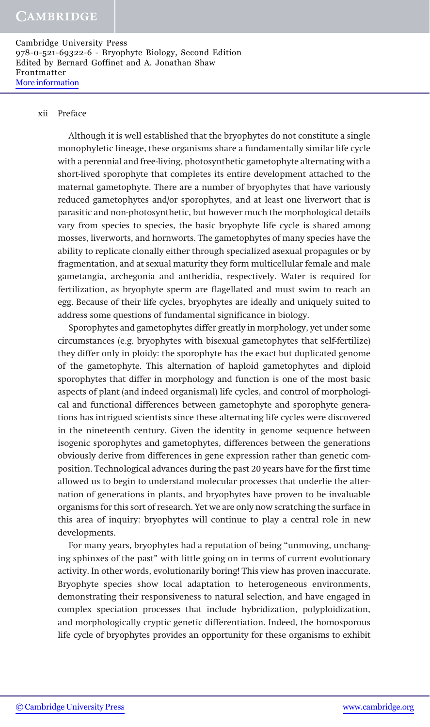#### xii Preface

Although it is well established that the bryophytes do not constitute a single monophyletic lineage, these organisms share a fundamentally similar life cycle with a perennial and free-living, photosynthetic gametophyte alternating with a short-lived sporophyte that completes its entire development attached to the maternal gametophyte. There are a number of bryophytes that have variously reduced gametophytes and/or sporophytes, and at least one liverwort that is parasitic and non-photosynthetic, but however much the morphological details vary from species to species, the basic bryophyte life cycle is shared among mosses, liverworts, and hornworts. The gametophytes of many species have the ability to replicate clonally either through specialized asexual propagules or by fragmentation, and at sexual maturity they form multicellular female and male gametangia, archegonia and antheridia, respectively. Water is required for fertilization, as bryophyte sperm are flagellated and must swim to reach an egg. Because of their life cycles, bryophytes are ideally and uniquely suited to address some questions of fundamental significance in biology.

Sporophytes and gametophytes differ greatly in morphology, yet under some circumstances (e.g. bryophytes with bisexual gametophytes that self-fertilize) they differ only in ploidy: the sporophyte has the exact but duplicated genome of the gametophyte. This alternation of haploid gametophytes and diploid sporophytes that differ in morphology and function is one of the most basic aspects of plant (and indeed organismal) life cycles, and control of morphological and functional differences between gametophyte and sporophyte generations has intrigued scientists since these alternating life cycles were discovered in the nineteenth century. Given the identity in genome sequence between isogenic sporophytes and gametophytes, differences between the generations obviously derive from differences in gene expression rather than genetic composition. Technological advances during the past 20 years have for the first time allowed us to begin to understand molecular processes that underlie the alternation of generations in plants, and bryophytes have proven to be invaluable organisms for this sort of research. Yet we are only now scratching the surface in this area of inquiry: bryophytes will continue to play a central role in new developments.

For many years, bryophytes had a reputation of being ''unmoving, unchanging sphinxes of the past'' with little going on in terms of current evolutionary activity. In other words, evolutionarily boring! This view has proven inaccurate. Bryophyte species show local adaptation to heterogeneous environments, demonstrating their responsiveness to natural selection, and have engaged in complex speciation processes that include hybridization, polyploidization, and morphologically cryptic genetic differentiation. Indeed, the homosporous life cycle of bryophytes provides an opportunity for these organisms to exhibit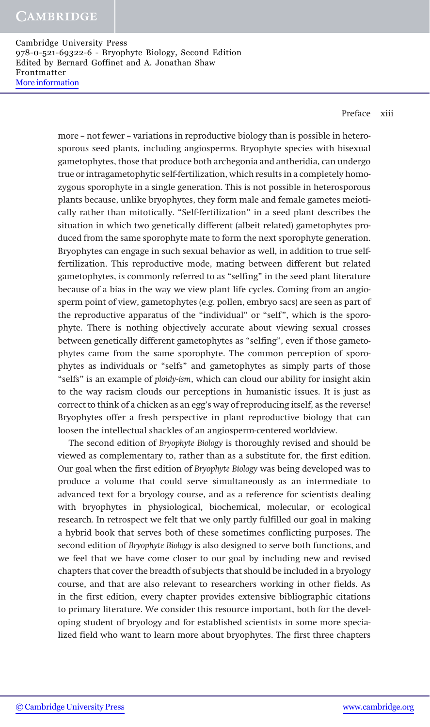#### Preface xiii

more – not fewer – variations in reproductive biology than is possible in heterosporous seed plants, including angiosperms. Bryophyte species with bisexual gametophytes, those that produce both archegonia and antheridia, can undergo true or intragametophytic self-fertilization, which results in a completely homozygous sporophyte in a single generation. This is not possible in heterosporous plants because, unlike bryophytes, they form male and female gametes meiotically rather than mitotically. ''Self-fertilization'' in a seed plant describes the situation in which two genetically different (albeit related) gametophytes produced from the same sporophyte mate to form the next sporophyte generation. Bryophytes can engage in such sexual behavior as well, in addition to true selffertilization. This reproductive mode, mating between different but related gametophytes, is commonly referred to as ''selfing'' in the seed plant literature because of a bias in the way we view plant life cycles. Coming from an angiosperm point of view, gametophytes (e.g. pollen, embryo sacs) are seen as part of the reproductive apparatus of the ''individual'' or ''self'', which is the sporophyte. There is nothing objectively accurate about viewing sexual crosses between genetically different gametophytes as ''selfing'', even if those gametophytes came from the same sporophyte. The common perception of sporophytes as individuals or ''selfs'' and gametophytes as simply parts of those "selfs" is an example of ploidy-ism, which can cloud our ability for insight akin to the way racism clouds our perceptions in humanistic issues. It is just as correct to think of a chicken as an egg's way of reproducing itself, as the reverse! Bryophytes offer a fresh perspective in plant reproductive biology that can loosen the intellectual shackles of an angiosperm-centered worldview.

The second edition of Bryophyte Biology is thoroughly revised and should be viewed as complementary to, rather than as a substitute for, the first edition. Our goal when the first edition of Bryophyte Biology was being developed was to produce a volume that could serve simultaneously as an intermediate to advanced text for a bryology course, and as a reference for scientists dealing with bryophytes in physiological, biochemical, molecular, or ecological research. In retrospect we felt that we only partly fulfilled our goal in making a hybrid book that serves both of these sometimes conflicting purposes. The second edition of Bryophyte Biology is also designed to serve both functions, and we feel that we have come closer to our goal by including new and revised chapters that cover the breadth of subjects that should be included in a bryology course, and that are also relevant to researchers working in other fields. As in the first edition, every chapter provides extensive bibliographic citations to primary literature. We consider this resource important, both for the developing student of bryology and for established scientists in some more specialized field who want to learn more about bryophytes. The first three chapters